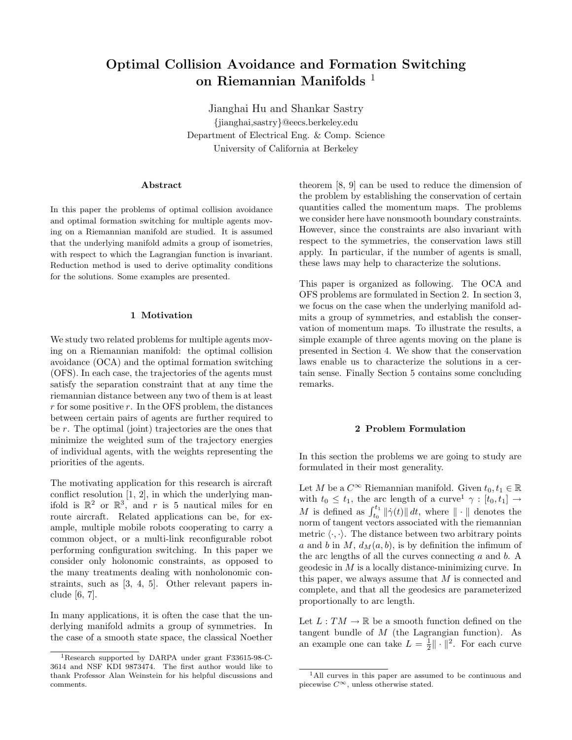# Optimal Collision Avoidance and Formation Switching on Riemannian Manifolds<sup>1</sup>

Jianghai Hu and Shankar Sastry {jianghai,sastry}@eecs.berkeley.edu Department of Electrical Eng. & Comp. Science University of California at Berkeley

# Abstract

In this paper the problems of optimal collision avoidance and optimal formation switching for multiple agents moving on a Riemannian manifold are studied. It is assumed that the underlying manifold admits a group of isometries, with respect to which the Lagrangian function is invariant. Reduction method is used to derive optimality conditions for the solutions. Some examples are presented.

# 1 Motivation

We study two related problems for multiple agents moving on a Riemannian manifold: the optimal collision avoidance (OCA) and the optimal formation switching (OFS). In each case, the trajectories of the agents must satisfy the separation constraint that at any time the riemannian distance between any two of them is at least  $r$  for some positive  $r$ . In the OFS problem, the distances between certain pairs of agents are further required to be r. The optimal (joint) trajectories are the ones that minimize the weighted sum of the trajectory energies of individual agents, with the weights representing the priorities of the agents.

The motivating application for this research is aircraft conflict resolution [1, 2], in which the underlying manifold is  $\mathbb{R}^2$  or  $\mathbb{R}^3$ , and r is 5 nautical miles for en route aircraft. Related applications can be, for example, multiple mobile robots cooperating to carry a common object, or a multi-link reconfigurable robot performing configuration switching. In this paper we consider only holonomic constraints, as opposed to the many treatments dealing with nonholonomic constraints, such as [3, 4, 5]. Other relevant papers include [6, 7].

In many applications, it is often the case that the underlying manifold admits a group of symmetries. In the case of a smooth state space, the classical Noether theorem [8, 9] can be used to reduce the dimension of the problem by establishing the conservation of certain quantities called the momentum maps. The problems we consider here have nonsmooth boundary constraints. However, since the constraints are also invariant with respect to the symmetries, the conservation laws still apply. In particular, if the number of agents is small, these laws may help to characterize the solutions.

This paper is organized as following. The OCA and OFS problems are formulated in Section 2. In section 3, we focus on the case when the underlying manifold admits a group of symmetries, and establish the conservation of momentum maps. To illustrate the results, a simple example of three agents moving on the plane is presented in Section 4. We show that the conservation laws enable us to characterize the solutions in a certain sense. Finally Section 5 contains some concluding remarks.

### 2 Problem Formulation

In this section the problems we are going to study are formulated in their most generality.

Let M be a  $C^{\infty}$  Riemannian manifold. Given  $t_0, t_1 \in \mathbb{R}$ with  $t_0 \leq t_1$ , the arc length of a curve<sup>1</sup>  $\gamma : [t_0, t_1] \rightarrow$ M is defined as  $\int_{t_0}^{t_1} ||\dot{\gamma}(t)|| dt$ , where  $|| \cdot ||$  denotes the norm of tangent vectors associated with the riemannian metric  $\langle \cdot, \cdot \rangle$ . The distance between two arbitrary points a and b in M,  $d_M(a, b)$ , is by definition the infimum of the arc lengths of all the curves connecting  $a$  and  $b$ . A geodesic in M is a locally distance-minimizing curve. In this paper, we always assume that  $M$  is connected and complete, and that all the geodesics are parameterized proportionally to arc length.

Let  $L: TM \to \mathbb{R}$  be a smooth function defined on the tangent bundle of  $M$  (the Lagrangian function). As an example one can take  $L = \frac{1}{2} || \cdot ||^2$ . For each curve

<sup>1</sup>Research supported by DARPA under grant F33615-98-C-3614 and NSF KDI 9873474. The first author would like to thank Professor Alan Weinstein for his helpful discussions and comments.

<sup>&</sup>lt;sup>1</sup>All curves in this paper are assumed to be continuous and piecewise  $C^{\infty}$ , unless otherwise stated.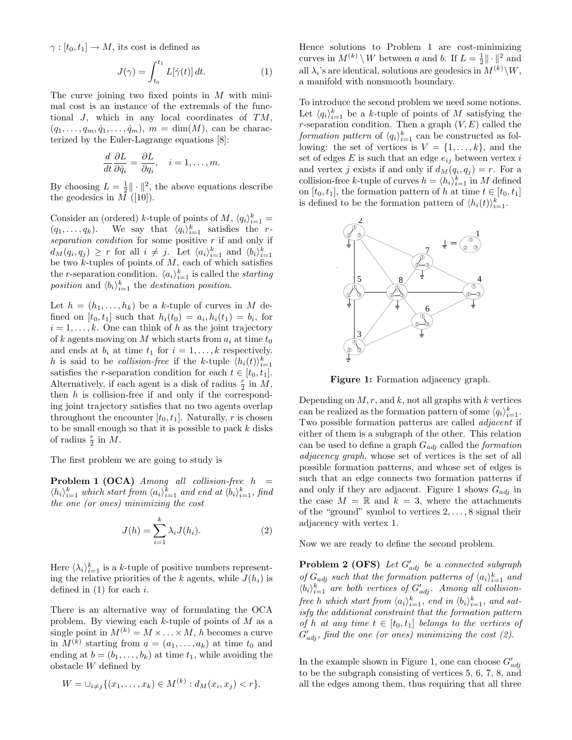$\gamma : [t_0, t_1] \to M$ , its cost is defined as

$$
J(\gamma) = \int_{t_0}^{t_1} L[\dot{\gamma}(t)] dt.
$$
 (1)

The curve joining two fixed points in  $M$  with minimal cost is an instance of the extremals of the functional J, which in any local coordinates of TM,  $(q_1, \ldots, q_m, \dot{q}_1, \ldots, \dot{q}_m)$ ,  $m = \dim(M)$ , can be characterized by the Euler-Lagrange equations [8]:

$$
\frac{d}{dt}\frac{\partial L}{\partial \dot{q}_i} = \frac{\partial L}{\partial q_i}, \quad i = 1, \dots, m.
$$

By choosing  $L = \frac{1}{2} || \cdot ||^2$ , the above equations describe the geodesics in  $M$  ([10]).

Consider an (ordered) k-tuple of points of  $M$ ,  $\langle q_i \rangle_{i=1}^k =$  $(q_1, \ldots, q_k)$ . We say that  $\langle q_i \rangle_{i=1}^k$  satisfies the rseparation condition for some positive  $r$  if and only if  $d_M(q_i, q_j) \geq r$  for all  $i \neq j$ . Let  $\langle a_i \rangle_{i=1}^k$  and  $\langle b_i \rangle_{i=1}^k$ be two  $k$ -tuples of points of  $M$ , each of which satisfies the r-separation condition.  $\langle a_i \rangle_{i=1}^k$  is called the *starting* position and  $\langle b_i \rangle_{i=1}^k$  the destination position.

Let  $h = (h_1, \ldots, h_k)$  be a k-tuple of curves in M defined on  $[t_0, t_1]$  such that  $h_i(t_0) = a_i, h_i(t_1) = b_i$ , for  $i = 1, \ldots, k$ . One can think of h as the joint trajectory of k agents moving on M which starts from  $a_i$  at time  $t_0$ and ends at  $b_i$  at time  $t_1$  for  $i = 1, \ldots, k$  respectively. h is said to be *collision-free* if the k-tuple  $\langle h_i(t) \rangle_{i=1}^k$ satisfies the *r*-separation condition for each  $t \in [t_0, t_1]$ . Alternatively, if each agent is a disk of radius  $\frac{r}{2}$  in  $M$ , then  $h$  is collision-free if and only if the corresponding joint trajectory satisfies that no two agents overlap throughout the encounter  $[t_0, t_1]$ . Naturally, r is chosen to be small enough so that it is possible to pack  $k$  disks of radius  $\frac{r}{2}$  in M.

The first problem we are going to study is

**Problem 1 (OCA)** Among all collision-free  $h =$  $\langle h_i \rangle_{i=1}^k$  which start from  $\langle a_i \rangle_{i=1}^k$  and end at  $\langle b_i \rangle_{i=1}^k$ , find the one (or ones) minimizing the cost

$$
J(h) = \sum_{i=1}^{k} \lambda_i J(h_i).
$$
 (2)

Here  $\langle \lambda_i \rangle_{i=1}^k$  is a k-tuple of positive numbers representing the relative priorities of the k agents, while  $J(h_i)$  is defined in  $(1)$  for each i.

There is an alternative way of formulating the OCA problem. By viewing each  $k$ -tuple of points of  $M$  as a single point in  $M^{(k)} = M \times \ldots \times M$ , h becomes a curve in  $M^{(k)}$  starting from  $a = (a_1, \ldots, a_k)$  at time  $t_0$  and ending at  $b = (b_1, \ldots, b_k)$  at time  $t_1$ , while avoiding the obstacle W defined by

$$
W = \bigcup_{i \neq j} \{ (x_1, \dots, x_k) \in M^{(k)} : d_M(x_i, x_j) < r \}.
$$

Hence solutions to Problem 1 are cost-minimizing curves in  $M^{(k)} \setminus W$  between a and b. If  $L = \frac{1}{2} || \cdot ||^2$  and all  $\lambda_i$ 's are identical, solutions are geodesics in  $M^{(k)}\backslash W$ , a manifold with nonsmooth boundary.

To introduce the second problem we need some notions. Let  $\langle q_i \rangle_{i=1}^k$  be a k-tuple of points of M satisfying the r-separation condition. Then a graph  $(V, E)$  called the formation pattern of  $\langle q_i \rangle_{i=1}^k$  can be constructed as following: the set of vertices is  $V = \{1, \ldots, k\}$ , and the set of edges  $E$  is such that an edge  $e_{ij}$  between vertex i and vertex j exists if and only if  $d_M(q_i, q_j) = r$ . For a collision-free k-tuple of curves  $h = \langle h_i \rangle_{i=1}^k$  in M defined on  $[t_0, t_1]$ , the formation pattern of h at time  $t \in [t_0, t_1]$ is defined to be the formation pattern of  $\langle h_i(t) \rangle_{i=1}^k$ .



Figure 1: Formation adjacency graph.

Depending on  $M, r$ , and  $k$ , not all graphs with  $k$  vertices can be realized as the formation pattern of some  $\langle q_i \rangle_{i=1}^k$ . Two possible formation patterns are called adjacent if either of them is a subgraph of the other. This relation can be used to define a graph  $G_{adj}$  called the *formation* adjacency graph, whose set of vertices is the set of all possible formation patterns, and whose set of edges is such that an edge connects two formation patterns if and only if they are adjacent. Figure 1 shows  $G_{adj}$  in the case  $M = \mathbb{R}$  and  $k = 3$ , where the attachments of the "ground" symbol to vertices 2, . . . , 8 signal their adjacency with vertex 1.

Now we are ready to define the second problem.

**Problem 2 (OFS)** Let  $G'_{adj}$  be a connected subgraph of  $G_{adj}$  such that the formation patterns of  $\langle a_i \rangle_{i=1}^k$  and  $\langle b_i \rangle_{i=1}^k$  are both vertices of  $G'_{adj}$ . Among all collisionfree h which start from  $\langle a_i \rangle_{i=1}^k$ , end in  $\langle b_i \rangle_{i=1}^k$ , and satisfy the additional constraint that the formation pattern of h at any time  $t \in [t_0, t_1]$  belongs to the vertices of  $G'_{adj}$ , find the one (or ones) minimizing the cost (2).

In the example shown in Figure 1, one can choose  $G'_{adj}$ to be the subgraph consisting of vertices 5, 6, 7, 8, and all the edges among them, thus requiring that all three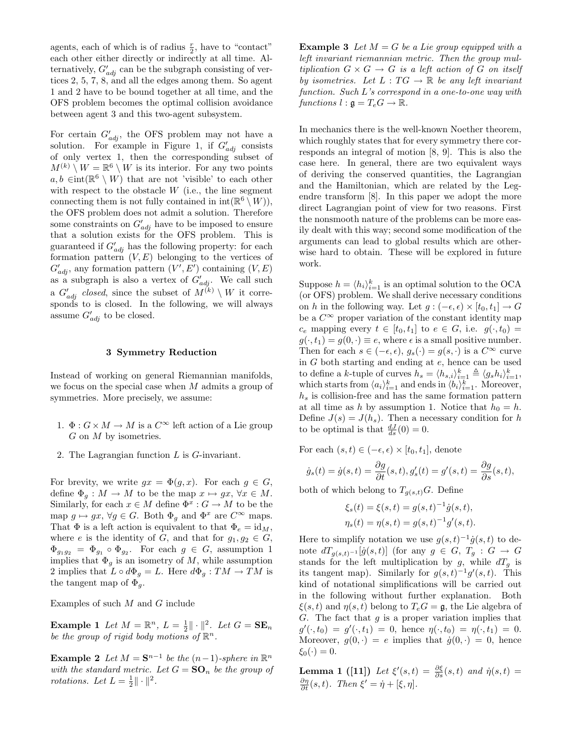agents, each of which is of radius  $\frac{r}{2}$ , have to "contact" each other either directly or indirectly at all time. Alternatively,  $G'_{adj}$  can be the subgraph consisting of vertices 2, 5, 7, 8, and all the edges among them. So agent 1 and 2 have to be bound together at all time, and the OFS problem becomes the optimal collision avoidance between agent 3 and this two-agent subsystem.

For certain  $G'_{adj}$ , the OFS problem may not have a solution. For example in Figure 1, if  $G'_{adj}$  consists of only vertex 1, then the corresponding subset of  $M^{(k)} \setminus W = \mathbb{R}^6 \setminus W$  is its interior. For any two points  $a, b \in \text{int}(\mathbb{R}^6 \setminus W)$  that are not 'visible' to each other with respect to the obstacle  $W$  (i.e., the line segment connecting them is not fully contained in  $\text{int}(\mathbb{R}^6 \setminus W)),$ the OFS problem does not admit a solution. Therefore some constraints on  $G'_{adj}$  have to be imposed to ensure that a solution exists for the OFS problem. This is guaranteed if  $G'_{adj}$  has the following property: for each formation pattern  $(V, E)$  belonging to the vertices of  $G'_{adj}$ , any formation pattern  $(V', E')$  containing  $(V, E)$ as a subgraph is also a vertex of  $G'_{adj}$ . We call such a  $G'_{adj}$  closed, since the subset of  $M^{(k)} \setminus W$  it corresponds to is closed. In the following, we will always assume  $G'_{adj}$  to be closed.

## 3 Symmetry Reduction

Instead of working on general Riemannian manifolds, we focus on the special case when M admits a group of symmetries. More precisely, we assume:

- 1.  $\Phi: G \times M \to M$  is a  $C^{\infty}$  left action of a Lie group G on M by isometries.
- 2. The Lagrangian function L is G-invariant.

For brevity, we write  $gx = \Phi(g, x)$ . For each  $g \in G$ , define  $\Phi_q : M \to M$  to be the map  $x \mapsto gx, \forall x \in M$ . Similarly, for each  $x \in M$  define  $\Phi^x : G \to M$  to be the map  $g \mapsto gx$ ,  $\forall g \in G$ . Both  $\Phi_g$  and  $\Phi^x$  are  $C^{\infty}$  maps. That  $\Phi$  is a left action is equivalent to that  $\Phi_e = id_M$ , where e is the identity of G, and that for  $g_1, g_2 \in G$ ,  $\Phi_{g_1g_2} = \Phi_{g_1} \circ \Phi_{g_2}$ . For each  $g \in G$ , assumption 1 implies that  $\Phi_g$  is an isometry of M, while assumption 2 implies that  $L \circ d\Phi_g = L$ . Here  $d\Phi_g : TM \to TM$  is the tangent map of  $\Phi_q$ .

Examples of such M and G include

**Example 1** Let  $M = \mathbb{R}^n$ ,  $L = \frac{1}{2} || \cdot ||^2$ . Let  $G = \mathbf{SE}_n$ be the group of rigid body motions of  $\mathbb{R}^n$ .

**Example 2** Let  $M = \mathbf{S}^{n-1}$  be the  $(n-1)$ -sphere in  $\mathbb{R}^n$ with the standard metric. Let  $G = \mathbf{SO}_n$  be the group of rotations. Let  $L = \frac{1}{2} \|\cdot\|^2$ .

**Example 3** Let  $M = G$  be a Lie group equipped with a left invariant riemannian metric. Then the group multiplication  $G \times G \to G$  is a left action of G on itself by isometries. Let  $L: TG \to \mathbb{R}$  be any left invariant function. Such L's correspond in a one-to-one way with functions  $l : \mathfrak{g} = T_e G \rightarrow \mathbb{R}$ .

In mechanics there is the well-known Noether theorem, which roughly states that for every symmetry there corresponds an integral of motion [8, 9]. This is also the case here. In general, there are two equivalent ways of deriving the conserved quantities, the Lagrangian and the Hamiltonian, which are related by the Legendre transform [8]. In this paper we adopt the more direct Lagrangian point of view for two reasons. First the nonsmooth nature of the problems can be more easily dealt with this way; second some modification of the arguments can lead to global results which are otherwise hard to obtain. These will be explored in future work.

Suppose  $h = \langle h_i \rangle_{i=1}^k$  is an optimal solution to the OCA (or OFS) problem. We shall derive necessary conditions on h in the following way. Let  $g : (-\epsilon, \epsilon) \times [t_0, t_1] \to G$ be a  $C^{\infty}$  proper variation of the constant identity map  $c_e$  mapping every  $t \in [t_0, t_1]$  to  $e \in G$ , i.e.  $g(\cdot, t_0) =$  $g(\cdot, t_1) = g(0, \cdot) \equiv e$ , where  $\epsilon$  is a small positive number. Then for each  $s \in (-\epsilon, \epsilon), g_s(\cdot) = g(s, \cdot)$  is a  $C^{\infty}$  curve in G both starting and ending at e, hence can be used to define a k-tuple of curves  $h_s = \langle h_{s,i} \rangle_{i=1}^k \triangleq \langle g_s h_i \rangle_{i=1}^k$ , which starts from  $\langle a_i \rangle_{i=1}^k$  and ends in  $\langle b_i \rangle_{i=1}^k$ . Moreover,  $h<sub>s</sub>$  is collision-free and has the same formation pattern at all time as h by assumption 1. Notice that  $h_0 = h$ . Define  $J(s) = J(h_s)$ . Then a necessary condition for h to be optimal is that  $\frac{dJ}{ds}(0) = 0$ .

For each  $(s, t) \in (-\epsilon, \epsilon) \times [t_0, t_1]$ , denote

$$
\dot{g}_s(t) = \dot{g}(s,t) = \frac{\partial g}{\partial t}(s,t), g'_s(t) = g'(s,t) = \frac{\partial g}{\partial s}(s,t),
$$

both of which belong to  $T_{g(s,t)}G$ . Define

$$
\xi_s(t) = \xi(s,t) = g(s,t)^{-1}\dot{g}(s,t),
$$
  

$$
\eta_s(t) = \eta(s,t) = g(s,t)^{-1}g'(s,t).
$$

Here to simplify notation we use  $g(s,t)^{-1}\dot{g}(s,t)$  to denote  $dT_{g(s,t)^{-1}}[\dot{g}(s,t)]$  (for any  $g \in G$ ,  $T_g : G \to G$ stands for the left multiplication by g, while  $dT_g$  is its tangent map). Similarly for  $g(s,t)^{-1}g'(s,t)$ . This kind of notational simplifications will be carried out in the following without further explanation. Both  $\xi(s,t)$  and  $\eta(s,t)$  belong to  $T_eG = \mathfrak{g}$ , the Lie algebra of G. The fact that  $g$  is a proper variation implies that  $g'(\cdot, t_0) = g'(\cdot, t_1) = 0$ , hence  $\eta(\cdot, t_0) = \eta(\cdot, t_1) = 0$ . Moreover,  $g(0, \cdot) = e$  implies that  $\dot{g}(0, \cdot) = 0$ , hence  $\xi_0(\cdot) = 0.$ 

**Lemma 1** ([11]) Let  $\xi'(s,t) = \frac{\partial \xi}{\partial s}(s,t)$  and  $\dot{\eta}(s,t) =$  $\frac{\partial \eta}{\partial t}(s,t)$ . Then  $\xi' = \dot{\eta} + [\xi, \eta]$ .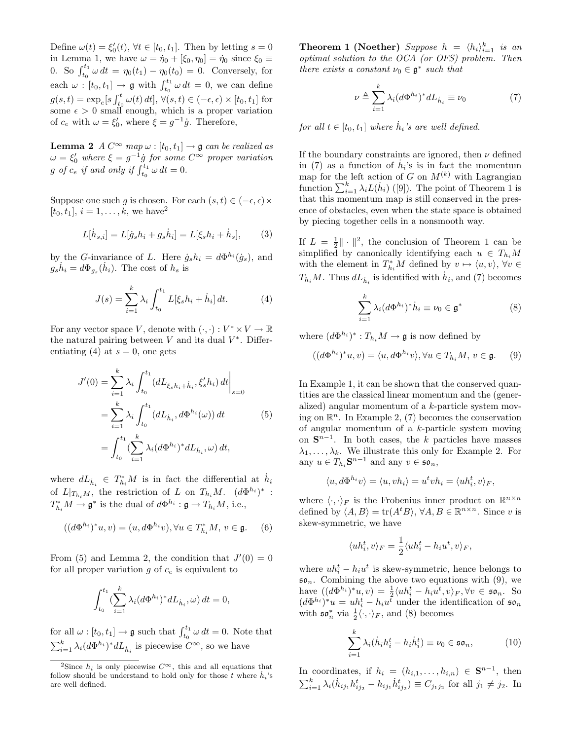Define  $\omega(t) = \xi'_0(t)$ ,  $\forall t \in [t_0, t_1]$ . Then by letting  $s = 0$ in Lemma 1, we have  $\omega = \dot{\eta}_0 + [\xi_0, \eta_0] = \dot{\eta}_0$  since  $\xi_0 \equiv$ 0. So  $\int_{t_0}^{t_1} \omega dt = \eta_0(t_1) - \eta_0(t_0) = 0$ . Conversely, for each  $\omega : [t_0, t_1] \to \mathfrak{g}$  with  $\int_{t_0}^{t_1} \omega dt = 0$ , we can define  $g(s,t) = \exp_e[s \int_{t_0}^t \omega(t) dt], \forall (s,t) \in (-\epsilon, \epsilon) \times [t_0, t_1]$  for some  $\epsilon > 0$  small enough, which is a proper variation of  $c_e$  with  $\omega = \xi_0'$ , where  $\xi = g^{-1}\dot{g}$ . Therefore,

**Lemma 2** A  $C^{\infty}$  map  $\omega$  :  $[t_0, t_1] \rightarrow \mathfrak{g}$  can be realized as  $\omega = \xi_0'$  where  $\xi = g^{-1} \dot{g}$  for some  $C^{\infty}$  proper variation g of  $c_e$  if and only if  $\int_{t_0}^{t_1} \omega dt = 0$ .

Suppose one such g is chosen. For each  $(s, t) \in (-\epsilon, \epsilon) \times$  $[t_0, t_1], i = 1, \ldots, k$ , we have<sup>2</sup>

$$
L[\dot{h}_{s,i}] = L[\dot{g}_s h_i + g_s \dot{h}_i] = L[\xi_s h_i + \dot{h}_s],
$$
 (3)

by the *G*-invariance of L. Here  $\dot{g}_s h_i = d\Phi^{h_i}(\dot{g}_s)$ , and  $g_s \dot{h}_i = d\Phi_{g_s}(\dot{h}_i)$ . The cost of  $h_s$  is

$$
J(s) = \sum_{i=1}^{k} \lambda_i \int_{t_0}^{t_1} L[\xi_s h_i + \dot{h}_i] dt.
$$
 (4)

For any vector space V, denote with  $(\cdot, \cdot) : V^* \times V \to \mathbb{R}$ the natural pairing between  $V$  and its dual  $V^*$ . Differentiating (4) at  $s = 0$ , one gets

$$
J'(0) = \sum_{i=1}^{k} \lambda_i \int_{t_0}^{t_1} (dL_{\xi_s h_i + \dot{h}_i}, \xi'_s h_i) dt \Big|_{s=0}
$$
  
= 
$$
\sum_{i=1}^{k} \lambda_i \int_{t_0}^{t_1} (dL_{\dot{h}_i}, d\Phi^{h_i}(\omega)) dt
$$
 (5)  
= 
$$
\int_{t_0}^{t_1} (\sum_{i=1}^{k} \lambda_i (d\Phi^{h_i})^* dL_{\dot{h}_i}, \omega) dt,
$$

where  $dL_{\dot{h}_i} \in T_{h_i}^*M$  is in fact the differential at  $\dot{h}_i$ of  $L|_{T_{h_i}M}$ , the restriction of L on  $T_{h_i}M$ .  $(d\Phi^{h_i})^*$  :  $T_{h_i}^* M \to \mathfrak{g}^*$  is the dual of  $d\Phi^{h_i} : \mathfrak{g} \to T_{h_i} M$ , i.e.,

$$
((d\Phi^{h_i})^*u, v) = (u, d\Phi^{h_i}v), \forall u \in T_{h_i}^*M, v \in \mathfrak{g}.
$$
 (6)

From (5) and Lemma 2, the condition that  $J'(0) = 0$ for all proper variation  $g$  of  $c_e$  is equivalent to

$$
\int_{t_0}^{t_1} \left(\sum_{i=1}^k \lambda_i (d\Phi^{h_i})^* dL_{\dot{h}_i}, \omega\right) dt = 0,
$$

for all  $\omega : [t_0, t_1] \to \mathfrak{g}$  such that  $\int_{t_0}^{t_1} \omega dt = 0$ . Note that  $\sum_{i=1}^{k} \lambda_i (d\Phi^{h_i})^* dL_{\dot{h}_i}$  is piecewise  $C^{\infty}$ , so we have

**Theorem 1 (Noether)** Suppose  $h = \langle h_i \rangle_{i=1}^k$  is an optimal solution to the OCA (or OFS) problem. Then there exists a constant  $\nu_0 \in \mathfrak{g}^*$  such that

$$
\nu \triangleq \sum_{i=1}^{k} \lambda_i (d\Phi^{h_i})^* dL_{\dot{h}_i} \equiv \nu_0 \tag{7}
$$

for all  $t \in [t_0, t_1]$  where  $\dot{h}_i$ 's are well defined.

If the boundary constraints are ignored, then  $\nu$  defined in (7) as a function of  $\dot{h}_i$ 's is in fact the momentum map for the left action of G on  $M^{(k)}$  with Lagrangian function  $\sum_{i=1}^{k} \lambda_i L(\dot{h}_i)$  ([9]). The point of Theorem 1 is that this momentum map is still conserved in the presence of obstacles, even when the state space is obtained by piecing together cells in a nonsmooth way.

If  $L = \frac{1}{2} \|\cdot\|^2$ , the conclusion of Theorem 1 can be simplified by canonically identifying each  $u \in T_{h_i}M$ with the element in  $T_{h_i}^*M$  defined by  $v \mapsto \langle u, v \rangle$ ,  $\forall v \in$  $T_{h_i}M$ . Thus  $dL_{\dot{h}_i}$  is identified with  $\dot{h}_i$ , and (7) becomes

$$
\sum_{i=1}^{k} \lambda_i (d\Phi^{h_i})^* \dot{h}_i \equiv \nu_0 \in \mathfrak{g}^* \tag{8}
$$

where  $(d\Phi^{h_i})^* : T_{h_i}M \to \mathfrak{g}$  is now defined by

$$
((d\Phi^{h_i})^*u, v) = \langle u, d\Phi^{h_i}v \rangle, \forall u \in T_{h_i}M, v \in \mathfrak{g}. \tag{9}
$$

In Example 1, it can be shown that the conserved quantities are the classical linear momentum and the (generalized) angular momentum of a k-particle system moving on  $\mathbb{R}^n$ . In Example 2, (7) becomes the conservation of angular momentum of a k-particle system moving on  $S^{n-1}$ . In both cases, the k particles have masses  $\lambda_1, \ldots, \lambda_k$ . We illustrate this only for Example 2. For any  $u \in T_{h_i} \mathbf{S}^{n-1}$  and any  $v \in \mathfrak{so}_n$ ,

$$
\langle u, d\Phi^{h_i} v \rangle = \langle u, v h_i \rangle = u^t v h_i = \langle u h_i^t, v \rangle_F,
$$

where  $\langle \cdot, \cdot \rangle_F$  is the Frobenius inner product on  $\mathbb{R}^{n \times n}$ defined by  $\langle A, B \rangle = \text{tr}(A^t B), \forall A, B \in \mathbb{R}^{n \times n}$ . Since v is skew-symmetric, we have

$$
\langle uh_i^t, v \rangle_F = \frac{1}{2} \langle uh_i^t - h_i u^t, v \rangle_F,
$$

where  $uh_i^t - h_iu^t$  is skew-symmetric, hence belongs to  $\mathfrak{so}_n$ . Combining the above two equations with (9), we have  $((d\Phi^{h_i})^*u, v) = \frac{1}{2}\langle uh_i^t - h_iu^t, v \rangle_F, \forall v \in \mathfrak{so}_n$ . So  $(d\Phi^{h_i})^*u = uh_i^t - h_iu^{\bar{t}}$  under the identification of  $\mathfrak{so}_n$ with  $\mathfrak{so}_n^*$  via  $\frac{1}{2}\langle \cdot, \cdot \rangle_F$ , and (8) becomes

$$
\sum_{i=1}^{k} \lambda_i (\dot{h}_i h_i^t - h_i \dot{h}_i^t) \equiv \nu_0 \in \mathfrak{so}_n,
$$
 (10)

In coordinates, if  $h_i = (h_{i,1}, \ldots, h_{i,n}) \in \mathbf{S}^{n-1}$ , then  $\sum_{i=1}^{k} \lambda_i (h_{ij_1} h_{ij_2}^t - h_{ij_1} h_{ij_2}^t) \equiv C_{j_1 j_2}$  for all  $j_1 \neq j_2$ . In

<sup>&</sup>lt;sup>2</sup>Since  $h_i$  is only piecewise  $C^{\infty}$ , this and all equations that follow should be understand to hold only for those  $t$  where  $\dot{h}_i$ 's are well defined.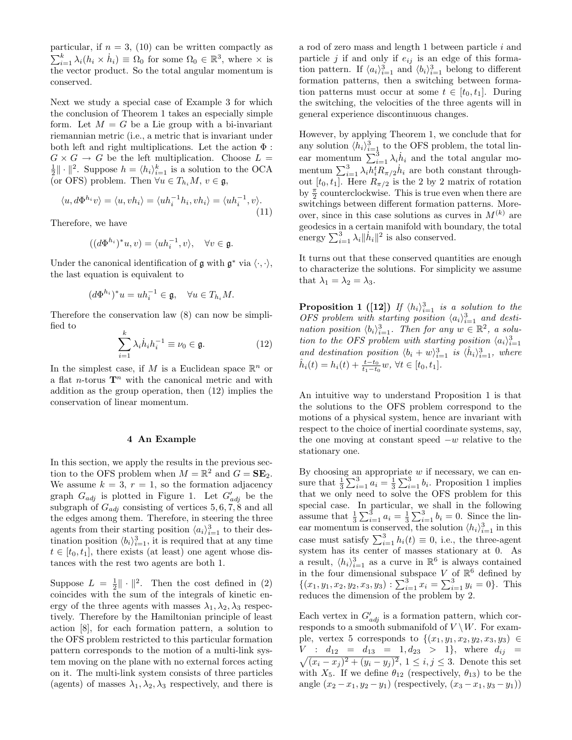particular, if  $n = 3$ , (10) can be written compactly as  $\sum_{i=1}^{k} \lambda_i (h_i \times \dot{h}_i) \equiv \Omega_0$  for some  $\Omega_0 \in \mathbb{R}^3$ , where  $\times$  is the vector product. So the total angular momentum is conserved.

Next we study a special case of Example 3 for which the conclusion of Theorem 1 takes an especially simple form. Let  $M = G$  be a Lie group with a bi-invariant riemannian metric (i.e., a metric that is invariant under both left and right multiplications. Let the action  $\Phi$  :  $G \times G \to G$  be the left multiplication. Choose  $L =$  $\frac{1}{2} \|\cdot\|^2$ . Suppose  $h = \langle h_i \rangle_{i=1}^k$  is a solution to the OCA (or OFS) problem. Then  $\forall u \in T_h, M, v \in \mathfrak{g}$ ,

$$
\langle u, d\Phi^{h_i} v \rangle = \langle u, v h_i \rangle = \langle u h_i^{-1} h_i, v h_i \rangle = \langle u h_i^{-1}, v \rangle.
$$
\n(11)

Therefore, we have

$$
((d\Phi^{h_i})^*u, v) = \langle uh_i^{-1}, v \rangle, \quad \forall v \in \mathfrak{g}.
$$

Under the canonical identification of  $\mathfrak g$  with  $\mathfrak g^*$  via  $\langle \cdot, \cdot \rangle$ , the last equation is equivalent to

$$
(d\Phi^{h_i})^*u = uh_i^{-1} \in \mathfrak{g}, \quad \forall u \in T_{h_i}M.
$$

Therefore the conservation law (8) can now be simplified to

$$
\sum_{i=1}^{k} \lambda_i \dot{h}_i h_i^{-1} \equiv \nu_0 \in \mathfrak{g}.\tag{12}
$$

In the simplest case, if M is a Euclidean space  $\mathbb{R}^n$  or a flat *n*-torus  $\mathbf{T}^n$  with the canonical metric and with addition as the group operation, then (12) implies the conservation of linear momentum.

# 4 An Example

In this section, we apply the results in the previous section to the OFS problem when  $M = \mathbb{R}^2$  and  $G = \mathbf{SE}_2$ . We assume  $k = 3$ ,  $r = 1$ , so the formation adjacency graph  $G_{adj}$  is plotted in Figure 1. Let  $G'_{adj}$  be the subgraph of  $G_{adj}$  consisting of vertices 5, 6, 7, 8 and all the edges among them. Therefore, in steering the three agents from their starting position  $\langle a_i \rangle_{i=1}^3$  to their destination position  $\langle b_i \rangle_{i=1}^3$ , it is required that at any time  $t \in [t_0, t_1]$ , there exists (at least) one agent whose distances with the rest two agents are both 1.

Suppose  $L = \frac{1}{2} || \cdot ||^2$ . Then the cost defined in (2) coincides with the sum of the integrals of kinetic energy of the three agents with masses  $\lambda_1, \lambda_2, \lambda_3$  respectively. Therefore by the Hamiltonian principle of least action [8], for each formation pattern, a solution to the OFS problem restricted to this particular formation pattern corresponds to the motion of a multi-link system moving on the plane with no external forces acting on it. The multi-link system consists of three particles (agents) of masses  $\lambda_1, \lambda_2, \lambda_3$  respectively, and there is

a rod of zero mass and length 1 between particle i and particle j if and only if  $e_{ij}$  is an edge of this formation pattern. If  $\langle a_i \rangle_{i=1}^3$  and  $\langle b_i \rangle_{i=1}^3$  belong to different formation patterns, then a switching between formation patterns must occur at some  $t \in [t_0, t_1]$ . During the switching, the velocities of the three agents will in general experience discontinuous changes.

However, by applying Theorem 1, we conclude that for any solution  $\langle h_i \rangle_{i=1}^3$  to the OFS problem, the total linear momentum  $\sum_{i=1}^{\bar{3}} \lambda_i \dot{h}_i$  and the total angular momentum  $\sum_{i=1}^{3} \lambda_i h_i^t R_{\pi/2} h_i$  are both constant throughout  $[t_0, t_1]$ . Here  $R_{\pi/2}$  is the 2 by 2 matrix of rotation by  $\frac{\pi}{2}$  counterclockwise. This is true even when there are switchings between different formation patterns. Moreover, since in this case solutions as curves in  $M^{(k)}$  are geodesics in a certain manifold with boundary, the total energy  $\sum_{i=1}^{3} \lambda_i ||\dot{h}_i||^2$  is also conserved.

It turns out that these conserved quantities are enough to characterize the solutions. For simplicity we assume that  $\lambda_1 = \lambda_2 = \lambda_3$ .

**Proposition 1** ([12]) If  $\langle h_i \rangle_{i=1}^3$  is a solution to the OFS problem with starting position  $\langle a_i \rangle_{i=1}^3$  and destination position  $\langle b_i \rangle_{i=1}^3$ . Then for any  $w \in \mathbb{R}^2$ , a solution to the OFS problem with starting position  $\langle a_i \rangle_{i=1}^3$ and destination position  $\langle b_i + w \rangle_{i=1}^3$  is  $\langle \hat{h}_i \rangle_{i=1}^3$ , where  $\hat{h}_i(t) = h_i(t) + \frac{t - t_0}{t_1 - t_0} w, \ \forall t \in [t_0, t_1].$ 

An intuitive way to understand Proposition 1 is that the solutions to the OFS problem correspond to the motions of a physical system, hence are invariant with respect to the choice of inertial coordinate systems, say, the one moving at constant speed  $-w$  relative to the stationary one.

By choosing an appropriate  $w$  if necessary, we can ensure that  $\frac{1}{3}\sum_{i=1}^{3} a_i = \frac{1}{3}\sum_{i=1}^{3} b_i$ . Proposition 1 implies that we only need to solve the OFS problem for this special case. In particular, we shall in the following assume that  $\frac{1}{3} \sum_{i=1}^{3} a_i = \frac{1}{3} \sum_{i=1}^{3} b_i = 0$ . Since the linear momentum is conserved, the solution  $\langle h_i \rangle_{i=1}^3$  in this case must satisfy  $\sum_{i=1}^{3} h_i(t) \equiv 0$ , i.e., the three-agent system has its center of masses stationary at 0. As a result,  $\langle h_i \rangle_{i=1}^3$  as a curve in  $\mathbb{R}^6$  is always contained in the four dimensional subspace V of  $\mathbb{R}^6$  defined by  $\{(x_1, y_1, x_2, y_2, x_3, y_3) : \sum_{i=1}^3 x_i = \sum_{i=1}^3 y_i = 0\}.$  This reduces the dimension of the problem by 2.

Each vertex in  $G'_{adj}$  is a formation pattern, which corresponds to a smooth submanifold of  $V \setminus W$ . For example, vertex 5 corresponds to  $\{(x_1,y_1,x_2,y_2,x_3,y_3)\in$  $\sqrt{}$  $V$  :  $d_{12} = d_{13} = 1, d_{23} > 1$ , where  $d_{ij} =$  $(x_i - x_j)^2 + (y_i - y_j)^2$ ,  $1 \leq i, j \leq 3$ . Denote this set with  $X_5$ . If we define  $\theta_{12}$  (respectively,  $\theta_{13}$ ) to be the angle  $(x_2 - x_1, y_2 - y_1)$  (respectively,  $(x_3 - x_1, y_3 - y_1)$ )